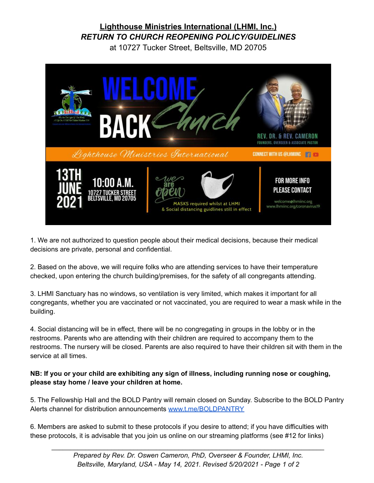## **Lighthouse Ministries International (LHMI, Inc.)** *RETURN TO CHURCH REOPENING POLICY/GUIDELINES*

at 10727 Tucker Street, Beltsville, MD 20705



1. We are not authorized to question people about their medical decisions, because their medical decisions are private, personal and confidential.

2. Based on the above, we will require folks who are attending services to have their temperature checked, upon entering the church building/premises, for the safety of all congregants attending.

3. LHMI Sanctuary has no windows, so ventilation is very limited, which makes it important for all congregants, whether you are vaccinated or not vaccinated, you are required to wear a mask while in the building.

4. Social distancing will be in effect, there will be no congregating in groups in the lobby or in the restrooms. Parents who are attending with their children are required to accompany them to the restrooms. The nursery will be closed. Parents are also required to have their children sit with them in the service at all times.

#### **NB: If you or your child are exhibiting any sign of illness, including running nose or coughing, please stay home / leave your children at home.**

5. The Fellowship Hall and the BOLD Pantry will remain closed on Sunday. Subscribe to the BOLD Pantry Alerts channel for distribution announcements [www.t.me/BOLDPANTRY](http://www.t.me/BOLDPANTRY)

6. Members are asked to submit to these protocols if you desire to attend; if you have difficulties with these protocols, it is advisable that you join us online on our streaming platforms (see #12 for links)

*\_\_\_\_\_\_\_\_\_\_\_\_\_\_\_\_\_\_\_\_\_\_\_\_\_\_\_\_\_\_\_\_\_\_\_\_\_\_\_\_\_\_\_\_\_\_\_\_\_\_\_\_\_\_\_\_\_\_\_\_\_\_\_\_\_\_\_\_\_\_\_\_\_*